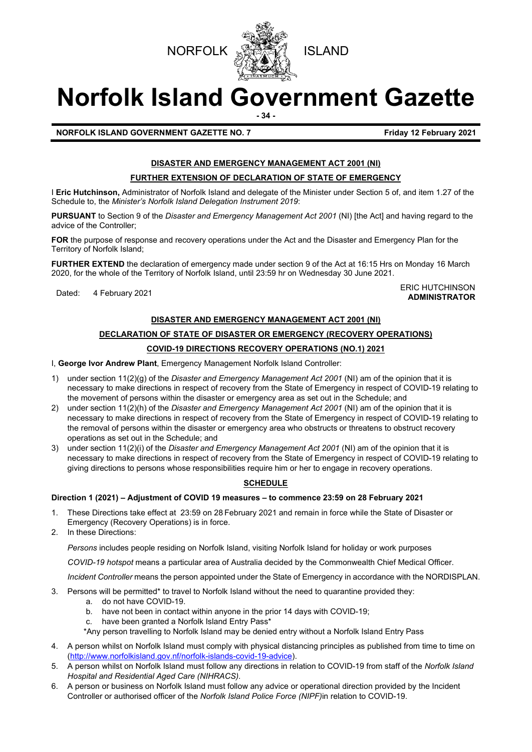



# **Norfolk Island Government Gazette**

**- 34 -**

**NORFOLK ISLAND GOVERNMENT GAZETTE NO. 7 Example 2021 Friday 12 February 2021** 

# **DISASTER AND EMERGENCY MANAGEMENT ACT 2001 (NI)**

# **FURTHER EXTENSION OF DECLARATION OF STATE OF EMERGENCY**

I **Eric Hutchinson,** Administrator of Norfolk Island and delegate of the Minister under Section 5 of, and item 1.27 of the Schedule to, the *Minister's Norfolk Island Delegation Instrument 2019*:

**PURSUANT** to Section 9 of the *Disaster and Emergency Management Act 2001* (NI) [the Act] and having regard to the advice of the Controller;

**FOR** the purpose of response and recovery operations under the Act and the Disaster and Emergency Plan for the Territory of Norfolk Island;

**FURTHER EXTEND** the declaration of emergency made under section 9 of the Act at 16:15 Hrs on Monday 16 March 2020, for the whole of the Territory of Norfolk Island, until 23:59 hr on Wednesday 30 June 2021.

Dated: 4 February 2021<br>Dated: 4 February 2021 **ADMINISTRATOR**

# **DISASTER AND EMERGENCY MANAGEMENT ACT 2001 (NI)**

# **DECLARATION OF STATE OF DISASTER OR EMERGENCY (RECOVERY OPERATIONS) COVID-19 DIRECTIONS RECOVERY OPERATIONS (NO.1) 2021**

I, **George Ivor Andrew Plant**, Emergency Management Norfolk Island Controller:

- 1) under section 11(2)(g) of the *Disaster and Emergency Management Act 2001* (NI) am of the opinion that it is necessary to make directions in respect of recovery from the State of Emergency in respect of COVID-19 relating to the movement of persons within the disaster or emergency area as set out in the Schedule; and
- 2) under section 11(2)(h) of the *Disaster and Emergency Management Act 2001* (NI) am of the opinion that it is necessary to make directions in respect of recovery from the State of Emergency in respect of COVID-19 relating to the removal of persons within the disaster or emergency area who obstructs or threatens to obstruct recovery operations as set out in the Schedule; and
- 3) under section 11(2)(i) of the *Disaster and Emergency Management Act 2001* (NI) am of the opinion that it is necessary to make directions in respect of recovery from the State of Emergency in respect of COVID-19 relating to giving directions to persons whose responsibilities require him or her to engage in recovery operations.

# **SCHEDULE**

# **Direction 1 (2021) – Adjustment of COVID 19 measures – to commence 23:59 on 28 February 2021**

- 1. These Directions take effect at 23:59 on 28 February 2021 and remain in force while the State of Disaster or Emergency (Recovery Operations) is in force.
- 2. In these Directions:

*Persons* includes people residing on Norfolk Island, visiting Norfolk Island for holiday or work purposes

*COVID-19 hotspot* means a particular area of Australia decided by the Commonwealth Chief Medical Officer.

*Incident Controller* means the person appointed under the State of Emergency in accordance with the NORDISPLAN.

- 3. Persons will be permitted\* to travel to Norfolk Island without the need to quarantine provided they:
	- a. do not have COVID-19.
	- b. have not been in contact within anyone in the prior 14 days with COVID-19;
	- c. have been granted a Norfolk Island Entry Pass\*

\*Any person travelling to Norfolk Island may be denied entry without a Norfolk Island Entry Pass

- 4. A person whilst on Norfolk Island must comply with physical distancing principles as published from time to time on [\(http://www.norfolkisland.gov.nf/norfolk-islands-covid-19-advice\)](http://www.norfolkisland.gov.nf/norfolk-islands-covid-19-advice).
- 5. A person whilst on Norfolk Island must follow any directions in relation to COVID-19 from staff of the *Norfolk Island Hospital and Residential Aged Care (NIHRACS).*
- 6. A person or business on Norfolk Island must follow any advice or operational direction provided by the Incident Controller or authorised officer of the *Norfolk Island Police Force (NIPF)*in relation to COVID-19.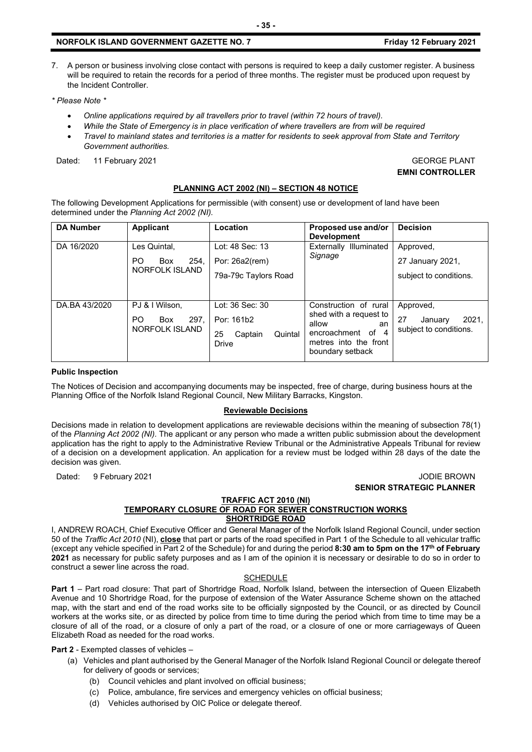### **NORFOLK ISLAND GOVERNMENT GAZETTE NO. 7 Example 2021 Friday 12 February 2021**

7. A person or business involving close contact with persons is required to keep a daily customer register. A business will be required to retain the records for a period of three months. The register must be produced upon request by the Incident Controller.

*\* Please Note \** 

- *Online applications required by all travellers prior to travel (within 72 hours of travel).*
- *While the State of Emergency is in place verification of where travellers are from will be required*
- *Travel to mainland states and territories is a matter for residents to seek approval from State and Territory Government authorities.*

Dated: 11 February 2021 **GEORGE PLANT** 

**EMNI CONTROLLER**

# **PLANNING ACT 2002 (NI) – SECTION 48 NOTICE**

The following Development Applications for permissible (with consent) use or development of land have been determined under the *Planning Act 2002 (NI).*

| <b>DA Number</b> | <b>Applicant</b>                                       | Location                                                           | Proposed use and/or<br><b>Development</b>                                                                                        | <b>Decision</b>                                               |
|------------------|--------------------------------------------------------|--------------------------------------------------------------------|----------------------------------------------------------------------------------------------------------------------------------|---------------------------------------------------------------|
| DA 16/2020       | Les Quintal,<br>PO.<br>254.<br>Box<br>NORFOLK ISLAND   | Lot: 48 Sec: 13<br>Por: 26a2(rem)<br>79a-79c Taylors Road          | Externally Illuminated<br>Signage                                                                                                | Approved,<br>27 January 2021,<br>subject to conditions.       |
| DA.BA 43/2020    | PJ & I Wilson.<br>297.<br>PO.<br>Box<br>NORFOLK ISLAND | Lot: 36 Sec: 30<br>Por: 161b2<br>25<br>Quintal<br>Captain<br>Drive | Construction of rural<br>shed with a request to<br>allow<br>an<br>encroachment of 4<br>metres into the front<br>boundary setback | Approved,<br>27<br>2021.<br>January<br>subject to conditions. |

#### **Public Inspection**

The Notices of Decision and accompanying documents may be inspected, free of charge, during business hours at the Planning Office of the Norfolk Island Regional Council, New Military Barracks, Kingston.

#### **Reviewable Decisions**

Decisions made in relation to development applications are reviewable decisions within the meaning of subsection 78(1) of the *Planning Act 2002 (NI).* The applicant or any person who made a written public submission about the development application has the right to apply to the Administrative Review Tribunal or the Administrative Appeals Tribunal for review of a decision on a development application. An application for a review must be lodged within 28 days of the date the decision was given.

#### Dated: 9 February 2021 **Journal and Science 2021** JODIE BROWN **SENIOR STRATEGIC PLANNER**

#### **TRAFFIC ACT 2010 (NI) TEMPORARY CLOSURE OF ROAD FOR SEWER CONSTRUCTION WORKS SHORTRIDGE ROAD**

I, ANDREW ROACH, Chief Executive Officer and General Manager of the Norfolk Island Regional Council, under section 50 of the *Traffic Act 2010* (NI), **close** that part or parts of the road specified in Part 1 of the Schedule to all vehicular traffic (except any vehicle specified in Part 2 of the Schedule) for and during the period **8:30 am to 5pm on the 17th of February 2021** as necessary for public safety purposes and as I am of the opinion it is necessary or desirable to do so in order to construct a sewer line across the road.

#### **SCHEDULE**

**Part 1** – Part road closure: That part of Shortridge Road, Norfolk Island, between the intersection of Queen Elizabeth Avenue and 10 Shortridge Road, for the purpose of extension of the Water Assurance Scheme shown on the attached map, with the start and end of the road works site to be officially signposted by the Council, or as directed by Council workers at the works site, or as directed by police from time to time during the period which from time to time may be a closure of all of the road, or a closure of only a part of the road, or a closure of one or more carriageways of Queen Elizabeth Road as needed for the road works.

**Part 2** - Exempted classes of vehicles –

- (a) Vehicles and plant authorised by the General Manager of the Norfolk Island Regional Council or delegate thereof for delivery of goods or services;
	- (b) Council vehicles and plant involved on official business;
	- (c) Police, ambulance, fire services and emergency vehicles on official business;
	- (d) Vehicles authorised by OIC Police or delegate thereof.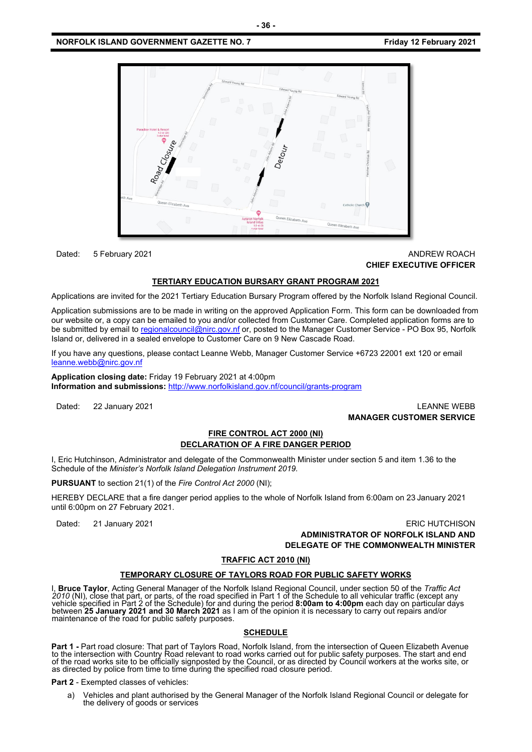

### Dated: 5 February 2021 **ANDREW ROACH CONSUMING THE SET OF ANDREW ROACH CHIEF EXECUTIVE OFFICER**

#### **TERTIARY EDUCATION BURSARY GRANT PROGRAM 2021**

Applications are invited for the 2021 Tertiary Education Bursary Program offered by the Norfolk Island Regional Council.

Application submissions are to be made in writing on the approved Application Form. This form can be downloaded from our website or, a copy can be emailed to you and/or collected from Customer Care. Completed application forms are to be submitted by email t[o regionalcouncil@nirc.gov.nf](mailto:regionalcouncil@nirc.gov.nf) or, posted to the Manager Customer Service - PO Box 95, Norfolk Island or, delivered in a sealed envelope to Customer Care on 9 New Cascade Road.

If you have any questions, please contact Leanne Webb, Manager Customer Service +6723 22001 ext 120 or email [leanne.webb@nirc.gov.nf](mailto:leanne.webb@nirc.gov.nf)

**Application closing date:** Friday 19 February 2021 at 4:00pm **Information and submissions:** <http://www.norfolkisland.gov.nf/council/grants-program>

Dated: 22 January 2021 LEANNE WEBB **MANAGER CUSTOMER SERVICE**

# **FIRE CONTROL ACT 2000 (NI) DECLARATION OF A FIRE DANGER PERIOD**

I, Eric Hutchinson, Administrator and delegate of the Commonwealth Minister under section 5 and item 1.36 to the Schedule of the *Minister's Norfolk Island Delegation Instrument 2019.*

**PURSUANT** to section 21(1) of the *Fire Control Act 2000* (NI);

HEREBY DECLARE that a fire danger period applies to the whole of Norfolk Island from 6:00am on 23 January 2021 until 6:00pm on 27 February 2021.

Dated: 21 January 2021 ERIC HUTCHISON

**ADMINISTRATOR OF NORFOLK ISLAND AND DELEGATE OF THE COMMONWEALTH MINISTER** 

#### **TRAFFIC ACT 2010 (NI)**

#### **TEMPORARY CLOSURE OF TAYLORS ROAD FOR PUBLIC SAFETY WORKS**

I, **Bruce Taylor**, Acting General Manager of the Norfolk Island Regional Council, under section 50 of the *Traffic Act*  2010 (NI), close that part, or parts, of the road specified in Part 1 of the Schedule to all vehicular traffic (except any<br>vehicle specified in Part 2 of the Schedule) for and during the period **8:00am to 4:00pm** each day between **25 January 2021 and 30 March 2021** as I am of the opinion it is necessary to carry out repairs and/or maintenance of the road for public safety purposes.

#### **SCHEDULE**

**Part 1 -** Part road closure: That part of Taylors Road, Norfolk Island, from the intersection of Queen Elizabeth Avenue<br>to the intersection with Country Road relevant to road works carried out for public safety purposes. of the road works site to be officially signposted by the Council, or as directed by Council workers at the works site, or<br>as directed by police from time to time during the specified road closure period.

**Part 2 - Exempted classes of vehicles:** 

a) Vehicles and plant authorised by the General Manager of the Norfolk Island Regional Council or delegate for the delivery of goods or services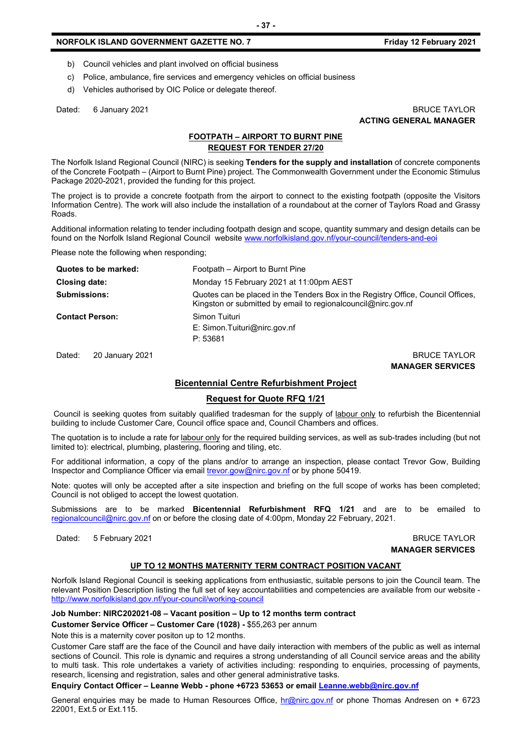## **NORFOLK ISLAND GOVERNMENT GAZETTE NO. 7** *CONDUCTER SETS FRIDAY 12 February 2021*

- b) Council vehicles and plant involved on official business
- c) Police, ambulance, fire services and emergency vehicles on official business
- d) Vehicles authorised by OIC Police or delegate thereof.

#### Dated: 6 January 2021 **BRUCE TAYLOR ACTING GENERAL MANAGER**

# **FOOTPATH – AIRPORT TO BURNT PINE REQUEST FOR TENDER 27/20**

The Norfolk Island Regional Council (NIRC) is seeking **Tenders for the supply and installation** of concrete components of the Concrete Footpath – (Airport to Burnt Pine) project. The Commonwealth Government under the Economic Stimulus Package 2020-2021, provided the funding for this project.

The project is to provide a concrete footpath from the airport to connect to the existing footpath (opposite the Visitors Information Centre). The work will also include the installation of a roundabout at the corner of Taylors Road and Grassy Roads.

Additional information relating to tender including footpath design and scope, quantity summary and design details can be found on the Norfolk Island Regional Council websit[e www.norfolkisland.gov.nf/your-council/tenders-and-eoi](http://www.norfolkisland.gov.nf/your-council/tenders-and-eoi)

Please note the following when responding;

| Quotes to be marked:   | Footpath – Airport to Burnt Pine                                                                                                                    |
|------------------------|-----------------------------------------------------------------------------------------------------------------------------------------------------|
| Closing date:          | Monday 15 February 2021 at 11:00pm AEST                                                                                                             |
| <b>Submissions:</b>    | Quotes can be placed in the Tenders Box in the Registry Office, Council Offices,<br>Kingston or submitted by email to regional council @nirc.gov.nf |
| <b>Contact Person:</b> | Simon Tuituri<br>E: Simon. Tuituri@nirc.gov.nf<br>P: 53681                                                                                          |

Dated: 20 January 2021 2008 2012 20:00 20:00 20:00 20:00 20:00 20:00 20:00 20:00 20:00 20:00 20:00 20:00 20:00

**MANAGER SERVICES**

## **Bicentennial Centre Refurbishment Project**

# **Request for Quote RFQ 1/21**

Council is seeking quotes from suitably qualified tradesman for the supply of labour only to refurbish the Bicentennial building to include Customer Care, Council office space and, Council Chambers and offices.

The quotation is to include a rate for labour only for the required building services, as well as sub-trades including (but not limited to): electrical, plumbing, plastering, flooring and tiling, etc.

For additional information, a copy of the plans and/or to arrange an inspection, please contact Trevor Gow, Building Inspector and Compliance Officer via emai[l trevor.gow@nirc.gov.nf](mailto:trevor.gow@nirc.gov.nf) or by phone 50419.

Note: quotes will only be accepted after a site inspection and briefing on the full scope of works has been completed; Council is not obliged to accept the lowest quotation.

Submissions are to be marked **Bicentennial Refurbishment RFQ 1/21** and are to be emailed to [regionalcouncil@nirc.gov.nf](mailto:regionalcouncil@nirc.gov.nf) on or before the closing date of 4:00pm, Monday 22 February, 2021.

Dated: 5 February 2021 **BRUCE TAYLOR** 

**MANAGER SERVICES**

## **UP TO 12 MONTHS MATERNITY TERM CONTRACT POSITION VACANT**

Norfolk Island Regional Council is seeking applications from enthusiastic, suitable persons to join the Council team. The relevant Position Description listing the full set of key accountabilities and competencies are available from our website <http://www.norfolkisland.gov.nf/your-council/working-council>

**Job Number: NIRC202021-08 – Vacant position – Up to 12 months term contract** 

**Customer Service Officer – Customer Care (1028) -** \$55,263 per annum

Note this is a maternity cover positon up to 12 months.

Customer Care staff are the face of the Council and have daily interaction with members of the public as well as internal sections of Council. This role is dynamic and requires a strong understanding of all Council service areas and the ability to multi task. This role undertakes a variety of activities including: responding to enquiries, processing of payments, research, licensing and registration, sales and other general administrative tasks.

**Enquiry Contact Officer – Leanne Webb - phone +6723 53653 or email [Leanne.webb@nirc.gov.nf](mailto:Leanne.webb@nirc.gov.nf)**

General enquiries may be made to Human Resources Office, [hr@nirc.gov.nf](mailto:hr@nirc.gov.nf) or phone Thomas Andresen on + 6723 22001, Ext.5 or Ext.115.